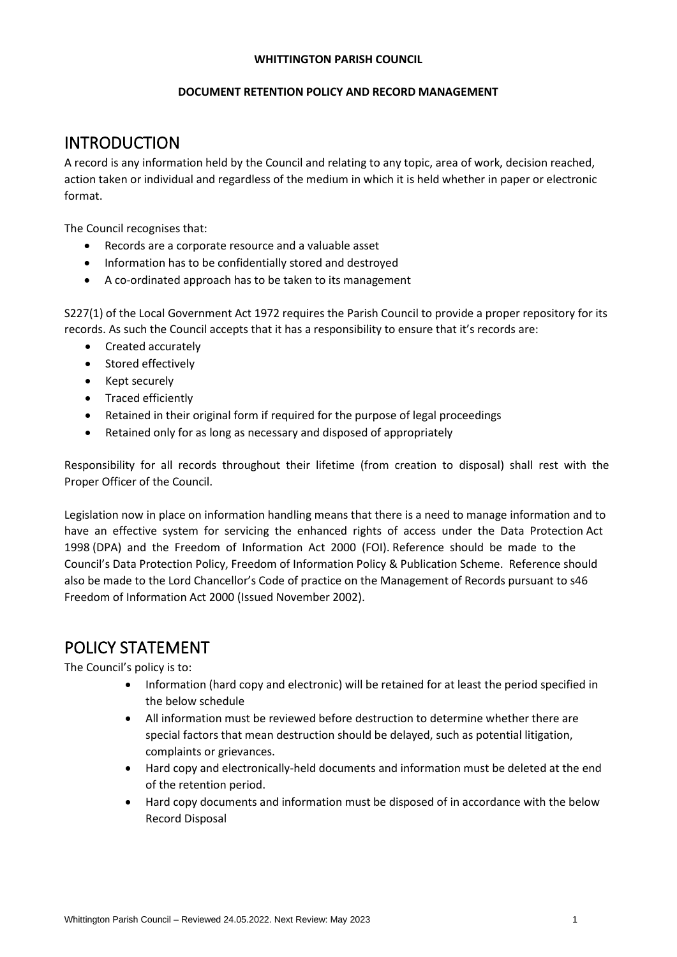#### **WHITTINGTON PARISH COUNCIL**

#### **DOCUMENT RETENTION POLICY AND RECORD MANAGEMENT**

### INTRODUCTION

A record is any information held by the Council and relating to any topic, area of work, decision reached, action taken or individual and regardless of the medium in which it is held whether in paper or electronic format.

The Council recognises that:

- Records are a corporate resource and a valuable asset
- Information has to be confidentially stored and destroyed
- A co-ordinated approach has to be taken to its management

S227(1) of the Local Government Act 1972 requires the Parish Council to provide a proper repository for its records. As such the Council accepts that it has a responsibility to ensure that it's records are:

- Created accurately
- Stored effectively
- Kept securely
- Traced efficiently
- Retained in their original form if required for the purpose of legal proceedings
- Retained only for as long as necessary and disposed of appropriately

Responsibility for all records throughout their lifetime (from creation to disposal) shall rest with the Proper Officer of the Council.

Legislation now in place on information handling means that there is a need to manage information and to have an effective system for servicing the enhanced rights of access under the Data Protection Act 1998 (DPA) and the Freedom of Information Act 2000 (FOI). Reference should be made to the Council's Data Protection Policy, Freedom of Information Policy & Publication Scheme. Reference should also be made to the Lord Chancellor's Code of practice on the Management of Records pursuant to s46 Freedom of Information Act 2000 (Issued November 2002).

### POLICY STATEMENT

The Council's policy is to:

- Information (hard copy and electronic) will be retained for at least the period specified in the below schedule
- All information must be reviewed before destruction to determine whether there are special factors that mean destruction should be delayed, such as potential litigation, complaints or grievances.
- Hard copy and electronically-held documents and information must be deleted at the end of the retention period.
- Hard copy documents and information must be disposed of in accordance with the below Record Disposal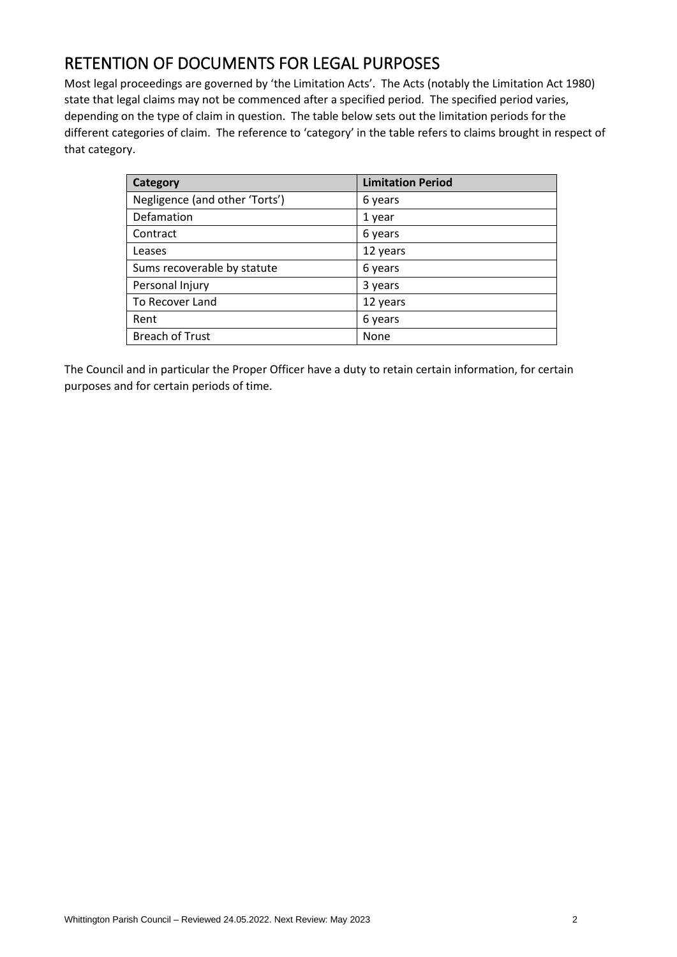## RETENTION OF DOCUMENTS FOR LEGAL PURPOSES

Most legal proceedings are governed by 'the Limitation Acts'. The Acts (notably the Limitation Act 1980) state that legal claims may not be commenced after a specified period. The specified period varies, depending on the type of claim in question. The table below sets out the limitation periods for the different categories of claim. The reference to 'category' in the table refers to claims brought in respect of that category.

| Category                       | <b>Limitation Period</b> |
|--------------------------------|--------------------------|
| Negligence (and other 'Torts') | 6 years                  |
| Defamation                     | 1 year                   |
| Contract                       | 6 years                  |
| Leases                         | 12 years                 |
| Sums recoverable by statute    | 6 years                  |
| Personal Injury                | 3 years                  |
| To Recover Land                | 12 years                 |
| Rent                           | 6 years                  |
| <b>Breach of Trust</b>         | None                     |

The Council and in particular the Proper Officer have a duty to retain certain information, for certain purposes and for certain periods of time.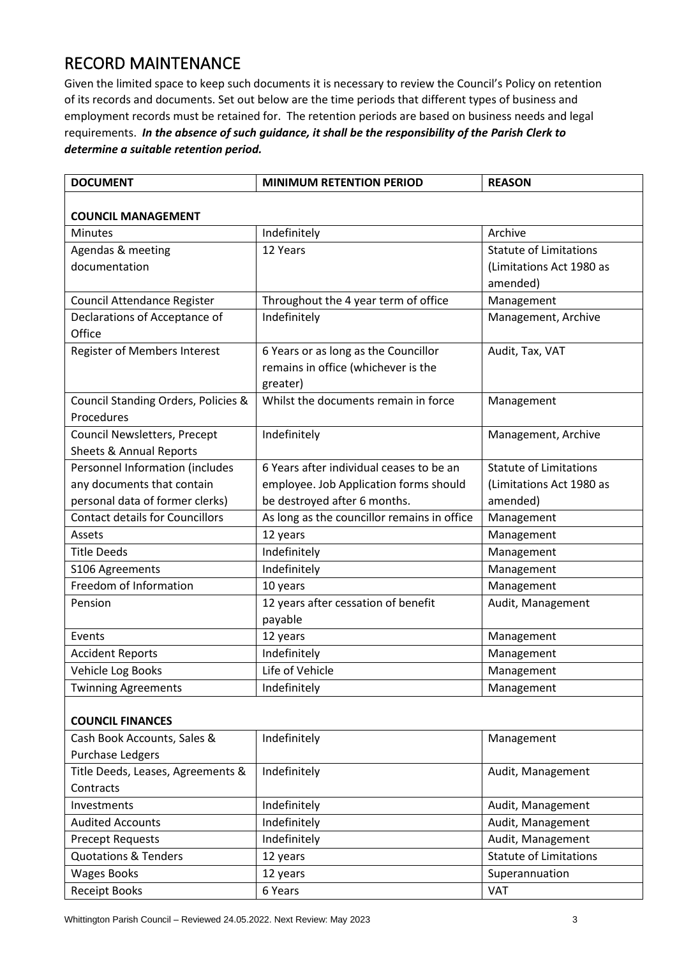## RECORD MAINTENANCE

Given the limited space to keep such documents it is necessary to review the Council's Policy on retention of its records and documents. Set out below are the time periods that different types of business and employment records must be retained for. The retention periods are based on business needs and legal requirements. *In the absence of such guidance, it shall be the responsibility of the Parish Clerk to determine a suitable retention period.*

| <b>DOCUMENT</b>                        | <b>MINIMUM RETENTION PERIOD</b>             | <b>REASON</b>                 |
|----------------------------------------|---------------------------------------------|-------------------------------|
| <b>COUNCIL MANAGEMENT</b>              |                                             |                               |
| <b>Minutes</b>                         | Indefinitely                                | Archive                       |
| Agendas & meeting                      | 12 Years                                    | <b>Statute of Limitations</b> |
| documentation                          |                                             | (Limitations Act 1980 as      |
|                                        |                                             | amended)                      |
| Council Attendance Register            | Throughout the 4 year term of office        | Management                    |
| Declarations of Acceptance of          | Indefinitely                                | Management, Archive           |
| Office                                 |                                             |                               |
| Register of Members Interest           | 6 Years or as long as the Councillor        | Audit, Tax, VAT               |
|                                        | remains in office (whichever is the         |                               |
|                                        | greater)                                    |                               |
| Council Standing Orders, Policies &    | Whilst the documents remain in force        | Management                    |
| Procedures                             |                                             |                               |
| <b>Council Newsletters, Precept</b>    | Indefinitely                                | Management, Archive           |
| Sheets & Annual Reports                |                                             |                               |
| Personnel Information (includes        | 6 Years after individual ceases to be an    | <b>Statute of Limitations</b> |
| any documents that contain             | employee. Job Application forms should      | (Limitations Act 1980 as      |
| personal data of former clerks)        | be destroyed after 6 months.                | amended)                      |
| <b>Contact details for Councillors</b> | As long as the councillor remains in office | Management                    |
| Assets                                 | 12 years                                    | Management                    |
| <b>Title Deeds</b>                     | Indefinitely                                | Management                    |
| S106 Agreements                        | Indefinitely                                | Management                    |
| Freedom of Information                 | 10 years                                    | Management                    |
| Pension                                | 12 years after cessation of benefit         | Audit, Management             |
|                                        | payable                                     |                               |
| Events                                 | 12 years                                    | Management                    |
| <b>Accident Reports</b>                | Indefinitely                                | Management                    |
| Vehicle Log Books                      | Life of Vehicle                             | Management                    |
| <b>Twinning Agreements</b>             | Indefinitely                                | Management                    |
| <b>COUNCIL FINANCES</b>                |                                             |                               |
| Cash Book Accounts, Sales &            | Indefinitely                                | Management                    |
| <b>Purchase Ledgers</b>                |                                             |                               |
| Title Deeds, Leases, Agreements &      | Indefinitely                                | Audit, Management             |
| Contracts                              |                                             |                               |
| Investments                            | Indefinitely                                | Audit, Management             |
| <b>Audited Accounts</b>                | Indefinitely                                | Audit, Management             |
| <b>Precept Requests</b>                | Indefinitely                                | Audit, Management             |
| <b>Quotations &amp; Tenders</b>        | 12 years                                    | Statute of Limitations        |
| <b>Wages Books</b>                     | 12 years                                    | Superannuation                |
| Receipt Books                          | 6 Years                                     | <b>VAT</b>                    |
|                                        |                                             |                               |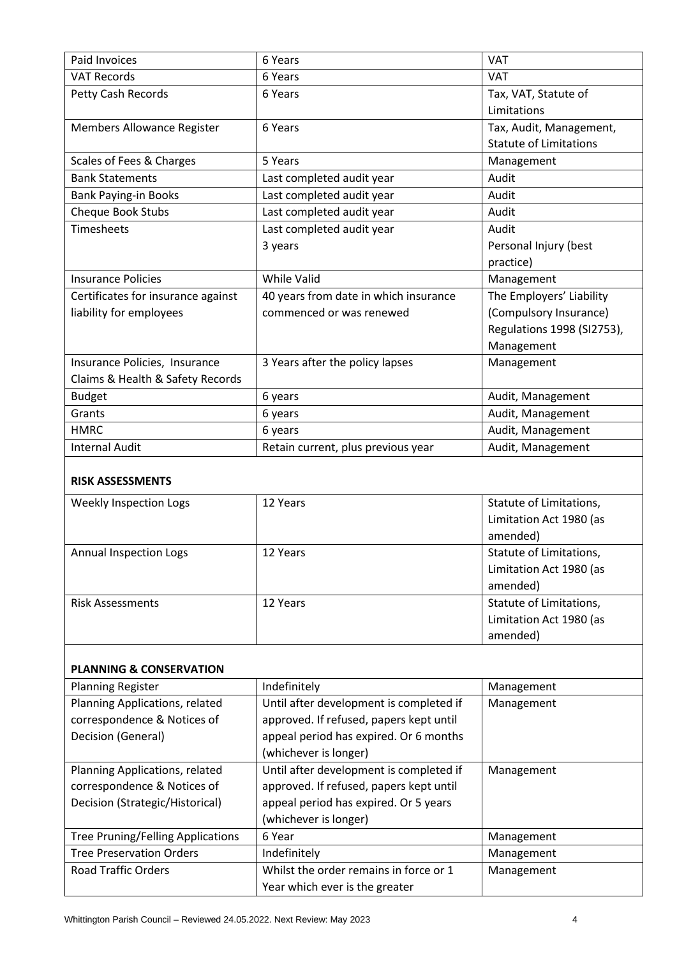| <b>Paid Invoices</b>                     | 6 Years                                 | <b>VAT</b>                    |
|------------------------------------------|-----------------------------------------|-------------------------------|
| <b>VAT Records</b>                       | 6 Years                                 | <b>VAT</b>                    |
| Petty Cash Records                       | 6 Years                                 | Tax, VAT, Statute of          |
|                                          |                                         | Limitations                   |
| <b>Members Allowance Register</b>        | 6 Years                                 | Tax, Audit, Management,       |
|                                          |                                         | <b>Statute of Limitations</b> |
| Scales of Fees & Charges                 | 5 Years                                 | Management                    |
| <b>Bank Statements</b>                   | Last completed audit year               | Audit                         |
| <b>Bank Paying-in Books</b>              | Last completed audit year               | Audit                         |
| Cheque Book Stubs                        | Last completed audit year               | Audit                         |
| Timesheets                               | Last completed audit year               | Audit                         |
|                                          | 3 years                                 | Personal Injury (best         |
|                                          |                                         | practice)                     |
| <b>Insurance Policies</b>                | <b>While Valid</b>                      | Management                    |
| Certificates for insurance against       | 40 years from date in which insurance   | The Employers' Liability      |
| liability for employees                  | commenced or was renewed                | (Compulsory Insurance)        |
|                                          |                                         | Regulations 1998 (SI2753),    |
|                                          |                                         | Management                    |
| Insurance Policies, Insurance            | 3 Years after the policy lapses         | Management                    |
| Claims & Health & Safety Records         |                                         |                               |
| <b>Budget</b>                            | 6 years                                 | Audit, Management             |
| Grants                                   | 6 years                                 | Audit, Management             |
| <b>HMRC</b>                              | 6 years                                 | Audit, Management             |
| <b>Internal Audit</b>                    | Retain current, plus previous year      | Audit, Management             |
| <b>RISK ASSESSMENTS</b>                  |                                         |                               |
| <b>Weekly Inspection Logs</b>            | 12 Years                                | Statute of Limitations,       |
|                                          |                                         | Limitation Act 1980 (as       |
|                                          |                                         | amended)                      |
| <b>Annual Inspection Logs</b>            | 12 Years                                | Statute of Limitations,       |
|                                          |                                         | Limitation Act 1980 (as       |
|                                          |                                         | amended)                      |
| <b>Risk Assessments</b>                  | 12 Years                                | Statute of Limitations,       |
|                                          |                                         | Limitation Act 1980 (as       |
|                                          |                                         | amended)                      |
| <b>PLANNING &amp; CONSERVATION</b>       |                                         |                               |
| <b>Planning Register</b>                 | Indefinitely                            | Management                    |
| Planning Applications, related           | Until after development is completed if | Management                    |
| correspondence & Notices of              | approved. If refused, papers kept until |                               |
| Decision (General)                       | appeal period has expired. Or 6 months  |                               |
|                                          | (whichever is longer)                   |                               |
| Planning Applications, related           | Until after development is completed if | Management                    |
| correspondence & Notices of              | approved. If refused, papers kept until |                               |
| Decision (Strategic/Historical)          | appeal period has expired. Or 5 years   |                               |
|                                          | (whichever is longer)                   |                               |
| <b>Tree Pruning/Felling Applications</b> | 6 Year                                  | Management                    |
| <b>Tree Preservation Orders</b>          | Indefinitely                            | Management                    |
| <b>Road Traffic Orders</b>               | Whilst the order remains in force or 1  | Management                    |
|                                          | Year which ever is the greater          |                               |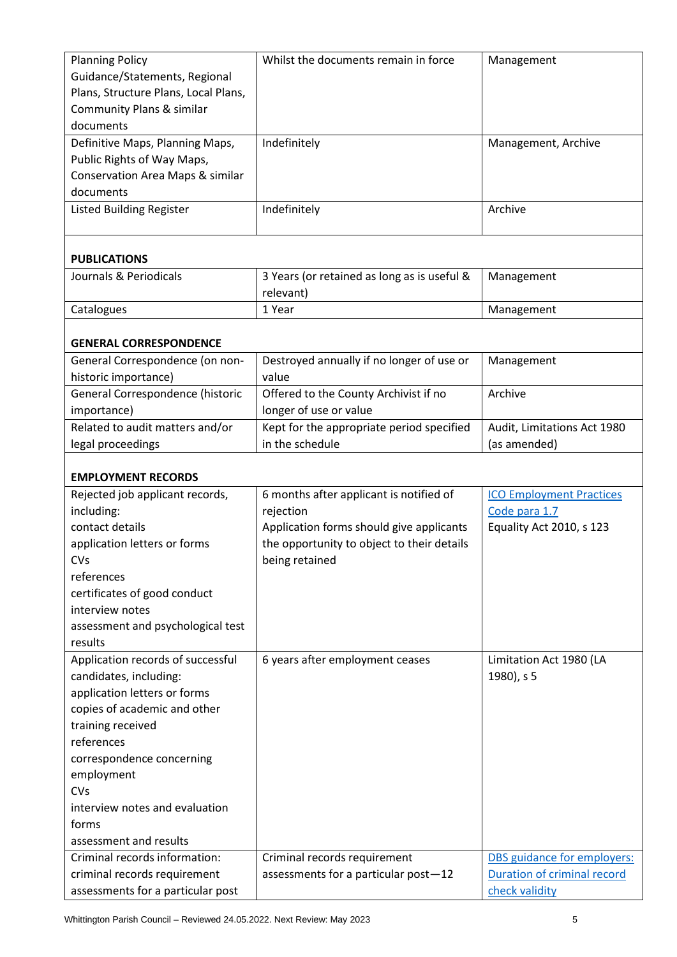| <b>Planning Policy</b>               | Whilst the documents remain in force        | Management                         |
|--------------------------------------|---------------------------------------------|------------------------------------|
| Guidance/Statements, Regional        |                                             |                                    |
| Plans, Structure Plans, Local Plans, |                                             |                                    |
| <b>Community Plans &amp; similar</b> |                                             |                                    |
| documents                            |                                             |                                    |
| Definitive Maps, Planning Maps,      | Indefinitely                                | Management, Archive                |
| Public Rights of Way Maps,           |                                             |                                    |
| Conservation Area Maps & similar     |                                             |                                    |
| documents                            |                                             |                                    |
| <b>Listed Building Register</b>      | Indefinitely                                | Archive                            |
|                                      |                                             |                                    |
| <b>PUBLICATIONS</b>                  |                                             |                                    |
| Journals & Periodicals               | 3 Years (or retained as long as is useful & | Management                         |
|                                      | relevant)                                   |                                    |
| Catalogues                           | 1 Year                                      | Management                         |
|                                      |                                             |                                    |
| <b>GENERAL CORRESPONDENCE</b>        |                                             |                                    |
| General Correspondence (on non-      | Destroyed annually if no longer of use or   | Management                         |
| historic importance)                 | value                                       |                                    |
| General Correspondence (historic     | Offered to the County Archivist if no       | Archive                            |
| importance)                          | longer of use or value                      |                                    |
| Related to audit matters and/or      | Kept for the appropriate period specified   | Audit, Limitations Act 1980        |
| legal proceedings                    | in the schedule                             | (as amended)                       |
|                                      |                                             |                                    |
| <b>EMPLOYMENT RECORDS</b>            |                                             |                                    |
| Rejected job applicant records,      | 6 months after applicant is notified of     | <b>ICO Employment Practices</b>    |
| including:                           | rejection                                   | Code para 1.7                      |
| contact details                      | Application forms should give applicants    | Equality Act 2010, s 123           |
| application letters or forms         | the opportunity to object to their details  |                                    |
| <b>CVs</b>                           | being retained                              |                                    |
| references                           |                                             |                                    |
| certificates of good conduct         |                                             |                                    |
| interview notes                      |                                             |                                    |
| assessment and psychological test    |                                             |                                    |
| results                              |                                             |                                    |
| Application records of successful    | 6 years after employment ceases             | Limitation Act 1980 (LA            |
| candidates, including:               |                                             | 1980), s 5                         |
| application letters or forms         |                                             |                                    |
| copies of academic and other         |                                             |                                    |
| training received                    |                                             |                                    |
| references                           |                                             |                                    |
| correspondence concerning            |                                             |                                    |
| employment<br>CVs                    |                                             |                                    |
| interview notes and evaluation       |                                             |                                    |
| forms                                |                                             |                                    |
| assessment and results               |                                             |                                    |
| Criminal records information:        | Criminal records requirement                | <b>DBS</b> guidance for employers: |
| criminal records requirement         | assessments for a particular post-12        | Duration of criminal record        |
| assessments for a particular post    |                                             | check validity                     |
|                                      |                                             |                                    |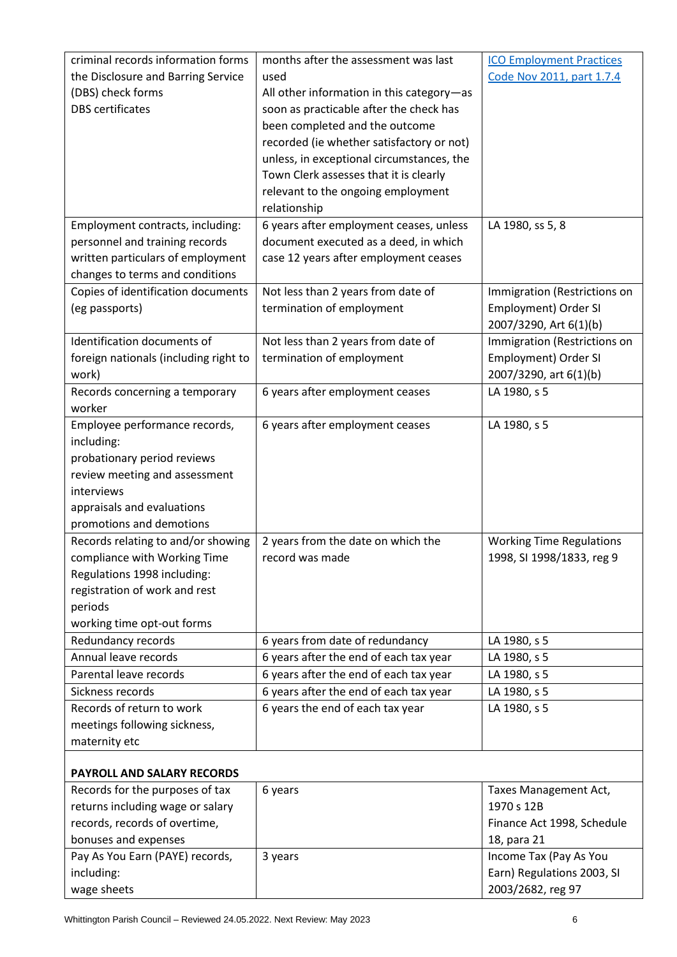| criminal records information forms    | months after the assessment was last      | <b>ICO Employment Practices</b> |
|---------------------------------------|-------------------------------------------|---------------------------------|
| the Disclosure and Barring Service    | used                                      | Code Nov 2011, part 1.7.4       |
| (DBS) check forms                     | All other information in this category-as |                                 |
| <b>DBS</b> certificates               | soon as practicable after the check has   |                                 |
|                                       | been completed and the outcome            |                                 |
|                                       | recorded (ie whether satisfactory or not) |                                 |
|                                       | unless, in exceptional circumstances, the |                                 |
|                                       | Town Clerk assesses that it is clearly    |                                 |
|                                       | relevant to the ongoing employment        |                                 |
|                                       | relationship                              |                                 |
| Employment contracts, including:      | 6 years after employment ceases, unless   | LA 1980, ss 5, 8                |
| personnel and training records        | document executed as a deed, in which     |                                 |
| written particulars of employment     | case 12 years after employment ceases     |                                 |
| changes to terms and conditions       |                                           |                                 |
| Copies of identification documents    | Not less than 2 years from date of        | Immigration (Restrictions on    |
| (eg passports)                        | termination of employment                 | <b>Employment) Order SI</b>     |
|                                       |                                           | 2007/3290, Art 6(1)(b)          |
| Identification documents of           | Not less than 2 years from date of        | Immigration (Restrictions on    |
| foreign nationals (including right to | termination of employment                 | <b>Employment) Order SI</b>     |
| work)                                 |                                           | 2007/3290, art 6(1)(b)          |
| Records concerning a temporary        | 6 years after employment ceases           | LA 1980, s 5                    |
| worker                                |                                           |                                 |
| Employee performance records,         | 6 years after employment ceases           | LA 1980, s 5                    |
| including:                            |                                           |                                 |
| probationary period reviews           |                                           |                                 |
| review meeting and assessment         |                                           |                                 |
| interviews                            |                                           |                                 |
| appraisals and evaluations            |                                           |                                 |
| promotions and demotions              |                                           |                                 |
| Records relating to and/or showing    | 2 years from the date on which the        | <b>Working Time Regulations</b> |
| compliance with Working Time          | record was made                           | 1998, SI 1998/1833, reg 9       |
| Regulations 1998 including:           |                                           |                                 |
| registration of work and rest         |                                           |                                 |
| periods                               |                                           |                                 |
| working time opt-out forms            |                                           |                                 |
| Redundancy records                    | 6 years from date of redundancy           | LA 1980, s 5                    |
| Annual leave records                  | 6 years after the end of each tax year    | LA 1980, s 5                    |
| Parental leave records                | 6 years after the end of each tax year    | LA 1980, s 5                    |
| Sickness records                      | 6 years after the end of each tax year    | LA 1980, s 5                    |
| Records of return to work             | 6 years the end of each tax year          | LA 1980, s 5                    |
| meetings following sickness,          |                                           |                                 |
| maternity etc                         |                                           |                                 |
|                                       |                                           |                                 |
| PAYROLL AND SALARY RECORDS            |                                           |                                 |
| Records for the purposes of tax       | 6 years                                   | Taxes Management Act,           |
| returns including wage or salary      |                                           | 1970 s 12B                      |
| records, records of overtime,         |                                           | Finance Act 1998, Schedule      |
| bonuses and expenses                  |                                           | 18, para 21                     |
| Pay As You Earn (PAYE) records,       | 3 years                                   | Income Tax (Pay As You          |
| including:                            |                                           | Earn) Regulations 2003, SI      |
| wage sheets                           |                                           | 2003/2682, reg 97               |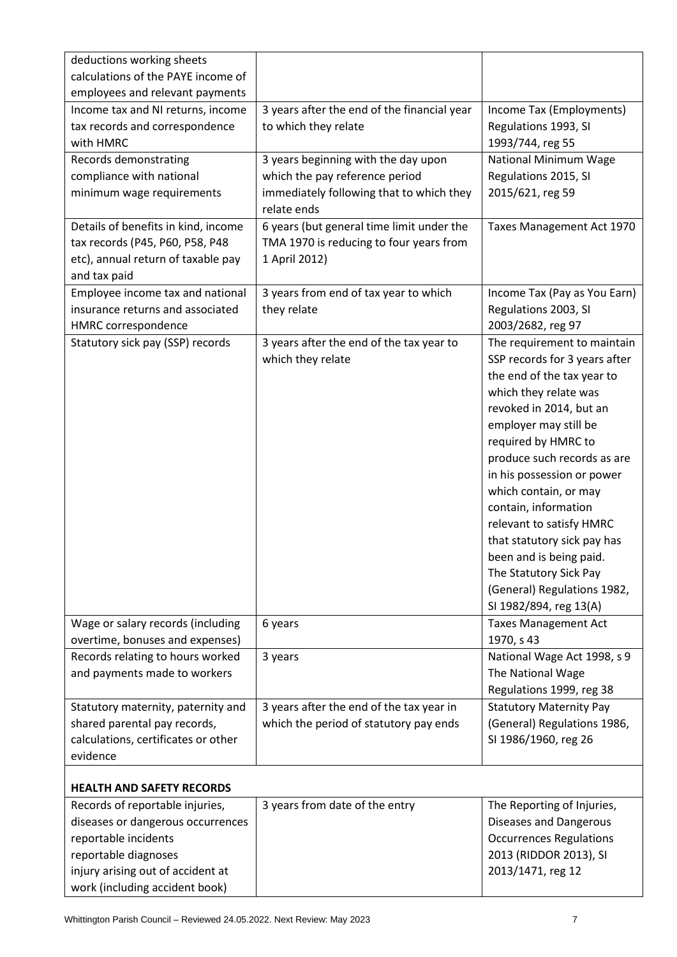| deductions working sheets<br>calculations of the PAYE income of      |                                             |                                               |
|----------------------------------------------------------------------|---------------------------------------------|-----------------------------------------------|
| employees and relevant payments                                      |                                             |                                               |
| Income tax and NI returns, income                                    | 3 years after the end of the financial year | Income Tax (Employments)                      |
| tax records and correspondence                                       | to which they relate                        | Regulations 1993, SI                          |
| with HMRC                                                            |                                             | 1993/744, reg 55                              |
| Records demonstrating                                                | 3 years beginning with the day upon         | National Minimum Wage                         |
| compliance with national                                             | which the pay reference period              | Regulations 2015, SI                          |
| minimum wage requirements                                            | immediately following that to which they    | 2015/621, reg 59                              |
|                                                                      | relate ends                                 |                                               |
| Details of benefits in kind, income                                  | 6 years (but general time limit under the   | Taxes Management Act 1970                     |
| tax records (P45, P60, P58, P48                                      | TMA 1970 is reducing to four years from     |                                               |
| etc), annual return of taxable pay                                   | 1 April 2012)                               |                                               |
| and tax paid                                                         |                                             |                                               |
| Employee income tax and national                                     | 3 years from end of tax year to which       | Income Tax (Pay as You Earn)                  |
| insurance returns and associated                                     | they relate                                 | Regulations 2003, SI                          |
| HMRC correspondence                                                  |                                             | 2003/2682, reg 97                             |
| Statutory sick pay (SSP) records                                     | 3 years after the end of the tax year to    | The requirement to maintain                   |
|                                                                      | which they relate                           | SSP records for 3 years after                 |
|                                                                      |                                             | the end of the tax year to                    |
|                                                                      |                                             | which they relate was                         |
|                                                                      |                                             | revoked in 2014, but an                       |
|                                                                      |                                             | employer may still be                         |
|                                                                      |                                             | required by HMRC to                           |
|                                                                      |                                             | produce such records as are                   |
|                                                                      |                                             | in his possession or power                    |
|                                                                      |                                             | which contain, or may                         |
|                                                                      |                                             | contain, information                          |
|                                                                      |                                             | relevant to satisfy HMRC                      |
|                                                                      |                                             | that statutory sick pay has                   |
|                                                                      |                                             | been and is being paid.                       |
|                                                                      |                                             | The Statutory Sick Pay                        |
|                                                                      |                                             | (General) Regulations 1982,                   |
|                                                                      |                                             | SI 1982/894, reg 13(A)                        |
| Wage or salary records (including<br>overtime, bonuses and expenses) | 6 years                                     | <b>Taxes Management Act</b><br>1970, s 43     |
|                                                                      |                                             |                                               |
| Records relating to hours worked<br>and payments made to workers     | 3 years                                     | National Wage Act 1998, s 9                   |
|                                                                      |                                             | The National Wage<br>Regulations 1999, reg 38 |
| Statutory maternity, paternity and                                   | 3 years after the end of the tax year in    | <b>Statutory Maternity Pay</b>                |
| shared parental pay records,                                         | which the period of statutory pay ends      | (General) Regulations 1986,                   |
| calculations, certificates or other                                  |                                             | SI 1986/1960, reg 26                          |
| evidence                                                             |                                             |                                               |
|                                                                      |                                             |                                               |
| <b>HEALTH AND SAFETY RECORDS</b>                                     |                                             |                                               |
| Records of reportable injuries,                                      | 3 years from date of the entry              | The Reporting of Injuries,                    |
| diseases or dangerous occurrences                                    |                                             | <b>Diseases and Dangerous</b>                 |
| reportable incidents                                                 |                                             | <b>Occurrences Regulations</b>                |
| reportable diagnoses                                                 |                                             | 2013 (RIDDOR 2013), SI                        |
| injury arising out of accident at                                    |                                             | 2013/1471, reg 12                             |
| work (including accident book)                                       |                                             |                                               |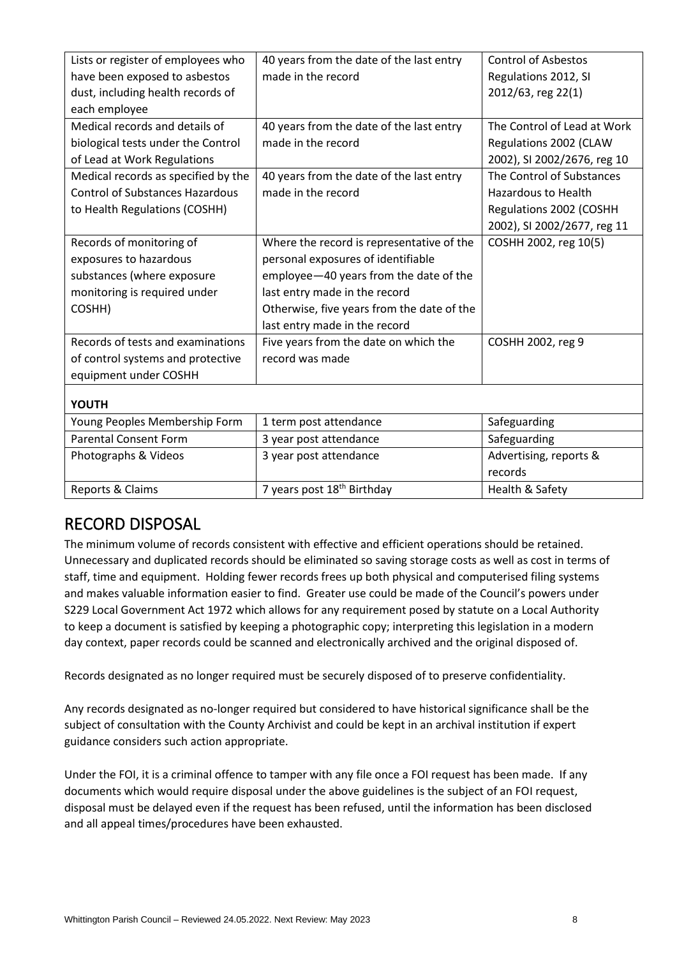| Lists or register of employees who     | 40 years from the date of the last entry   | <b>Control of Asbestos</b>  |
|----------------------------------------|--------------------------------------------|-----------------------------|
| have been exposed to asbestos          | made in the record                         | Regulations 2012, SI        |
| dust, including health records of      |                                            | 2012/63, reg 22(1)          |
| each employee                          |                                            |                             |
| Medical records and details of         | 40 years from the date of the last entry   | The Control of Lead at Work |
| biological tests under the Control     | made in the record                         | Regulations 2002 (CLAW      |
| of Lead at Work Regulations            |                                            | 2002), SI 2002/2676, reg 10 |
| Medical records as specified by the    | 40 years from the date of the last entry   | The Control of Substances   |
| <b>Control of Substances Hazardous</b> | made in the record                         | <b>Hazardous to Health</b>  |
| to Health Regulations (COSHH)          |                                            | Regulations 2002 (COSHH     |
|                                        |                                            | 2002), SI 2002/2677, reg 11 |
| Records of monitoring of               | Where the record is representative of the  | COSHH 2002, reg 10(5)       |
| exposures to hazardous                 | personal exposures of identifiable         |                             |
| substances (where exposure             | employee-40 years from the date of the     |                             |
| monitoring is required under           | last entry made in the record              |                             |
| COSHH)                                 | Otherwise, five years from the date of the |                             |
|                                        | last entry made in the record              |                             |
| Records of tests and examinations      | Five years from the date on which the      | COSHH 2002, reg 9           |
| of control systems and protective      | record was made                            |                             |
| equipment under COSHH                  |                                            |                             |
|                                        |                                            |                             |
| <b>YOUTH</b>                           |                                            |                             |
| Young Peoples Membership Form          | 1 term post attendance                     | Safeguarding                |
| <b>Parental Consent Form</b>           | 3 year post attendance                     | Safeguarding                |
| Photographs & Videos                   | 3 year post attendance                     | Advertising, reports &      |
|                                        |                                            | records                     |
| Reports & Claims                       | 7 years post 18 <sup>th</sup> Birthday     | Health & Safety             |
|                                        |                                            |                             |

# RECORD DISPOSAL

The minimum volume of records consistent with effective and efficient operations should be retained. Unnecessary and duplicated records should be eliminated so saving storage costs as well as cost in terms of staff, time and equipment. Holding fewer records frees up both physical and computerised filing systems and makes valuable information easier to find. Greater use could be made of the Council's powers under S229 Local Government Act 1972 which allows for any requirement posed by statute on a Local Authority to keep a document is satisfied by keeping a photographic copy; interpreting this legislation in a modern day context, paper records could be scanned and electronically archived and the original disposed of.

Records designated as no longer required must be securely disposed of to preserve confidentiality.

Any records designated as no-longer required but considered to have historical significance shall be the subject of consultation with the County Archivist and could be kept in an archival institution if expert guidance considers such action appropriate.

Under the FOI, it is a criminal offence to tamper with any file once a FOI request has been made. If any documents which would require disposal under the above guidelines is the subject of an FOI request, disposal must be delayed even if the request has been refused, until the information has been disclosed and all appeal times/procedures have been exhausted.